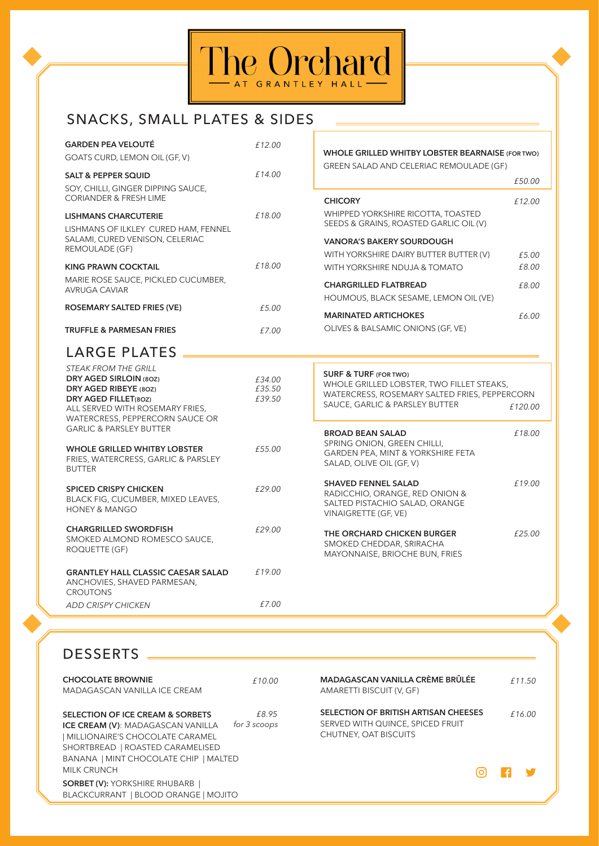

# SNACKS, SMALL PLATES & SIDES

| <b>GARDEN PEA VELOUTÉ</b>                                           | £12.00 |                                                                               |       |
|---------------------------------------------------------------------|--------|-------------------------------------------------------------------------------|-------|
| GOATS CURD, LEMON OIL (GF, V)                                       |        | WHOLE GRILLED WHITBY LOBSTER BEARNAISE (FOR TWO)                              |       |
| <b>SALT &amp; PEPPER SQUID</b>                                      | £14.00 | GREEN SALAD AND CELERIAC REMOULADE (GF)                                       |       |
| SOY, CHILLI, GINGER DIPPING SAUCE,                                  |        | £50.00                                                                        |       |
| <b>CORIANDER &amp; FRESH LIME</b>                                   |        | <b>CHICORY</b><br>£12.00                                                      |       |
| <b>LISHMANS CHARCUTERIE</b><br>LISHMANS OF ILKLEY CURED HAM, FENNEL | £18.00 | WHIPPED YORKSHIRE RICOTTA, TOASTED<br>SEEDS & GRAINS, ROASTED GARLIC OIL (V)  |       |
| SALAMI, CURED VENISON, CELERIAC                                     |        | <b>VANORA'S BAKERY SOURDOUGH</b>                                              |       |
| REMOULADE (GF)                                                      |        | WITH YORKSHIRE DAIRY BUTTER BUTTER (V)                                        | £5.00 |
| <b>KING PRAWN COCKTAIL</b>                                          | £18.00 | WITH YORKSHIRE NDUJA & TOMATO                                                 | £8.00 |
| MARIE ROSE SAUCE, PICKLED CUCUMBER,<br>AVRUGA CAVIAR                |        | <b>CHARGRILLED FLATBREAD</b>                                                  | £8.00 |
|                                                                     |        | HOUMOUS, BLACK SESAME, LEMON OIL (VE)                                         |       |
| ROSEMARY SALTED FRIES (VE)                                          | £5.00  | <b>MARINATED ARTICHOKES</b>                                                   | £6.00 |
| <b>TRUFFLE &amp; PARMESAN FRIES</b>                                 |        | OLIVES & BALSAMIC ONIONS (GF, VE)                                             |       |
|                                                                     | £7.00  |                                                                               |       |
| LARGE PLATES                                                        |        |                                                                               |       |
| <b>STEAK FROM THE GRILL</b>                                         |        |                                                                               |       |
| DRY AGED SIRLOIN (80Z)                                              | £34.00 | <b>SURF &amp; TURF (FOR TWO)</b><br>WHOLE GRILLED LOBSTER, TWO FILLET STEAKS, |       |
| DRY AGED RIBEYE (80Z)                                               | £35.50 | WATERCRESS, ROSEMARY SALTED FRIES, PEPPERCORN                                 |       |
| DRY AGED FILLET(80Z)                                                | £39.50 | SAUCE, GARLIC & PARSLEY BUTTER                                                |       |
| ALL SERVED WITH ROSEMARY FRIES,                                     |        | £120.00                                                                       |       |
| WATERCRESS, PEPPERCORN SAUCE OR                                     |        |                                                                               |       |
| <b>GARLIC &amp; PARSLEY BUTTER</b>                                  |        | <b>BROAD BEAN SALAD</b><br>£18.00                                             |       |
| <b>WHOLE GRILLED WHITBY LOBSTER</b>                                 | £55.00 | SPRING ONION, GREEN CHILLI,                                                   |       |
| FRIES, WATERCRESS, GARLIC & PARSLEY                                 |        | GARDEN PEA, MINT & YORKSHIRE FETA                                             |       |
| <b>BUTTER</b>                                                       |        | SALAD, OLIVE OIL (GF, V)                                                      |       |
|                                                                     |        | £19.00<br><b>SHAVED FENNEL SALAD</b>                                          |       |
| <b>SPICED CRISPY CHICKEN</b>                                        | £29.00 | RADICCHIO, ORANGE, RED ONION &                                                |       |
| BLACK FIG, CUCUMBER, MIXED LEAVES,                                  |        | SALTED PISTACHIO SALAD, ORANGE                                                |       |
| <b>HONEY &amp; MANGO</b>                                            |        | VINAIGRETTE (GF, VE)                                                          |       |
| <b>CHARGRILLED SWORDFISH</b>                                        | £29.00 | £25.00<br>THE ORCHARD CHICKEN BURGER                                          |       |
| SMOKED ALMOND ROMESCO SAUCE,                                        |        | SMOKED CHEDDAR, SRIRACHA                                                      |       |
| ROQUETTE (GF)                                                       |        | MAYONNAISE, BRIOCHE BUN, FRIES                                                |       |
|                                                                     |        |                                                                               |       |
| <b>GRANTLEY HALL CLASSIC CAESAR SALAD</b>                           | £19.00 |                                                                               |       |
| ANCHOVIES, SHAVED PARMESAN,                                         |        |                                                                               |       |
| <b>CROUTONS</b>                                                     |        |                                                                               |       |
| <b>ADD CRISPY CHICKEN</b>                                           | £7.00  |                                                                               |       |

## DESSERTS

| <b>CHOCOLATE BROWNIE</b>                                                       | £10.00       |
|--------------------------------------------------------------------------------|--------------|
| MADAGASCAN VANILLA ICE CREAM                                                   |              |
| SELECTION OF ICE CREAM & SORBETS                                               | £8.95        |
| <b>ICE CREAM (V): MADAGASCAN VANILLA</b>                                       | for 3 scoops |
| MILLIONAIRE'S CHOCOLATE CARAMEL                                                |              |
| SHORTBREAD   ROASTED CARAMELISED                                               |              |
| BANANA   MINT CHOCOLATE CHIP   MALTED                                          |              |
| <b>MILK CRUNCH</b>                                                             |              |
| <b>SORBET (V): YORKSHIRE RHUBARB  </b><br>BLACKCURRANT   BLOOD ORANGE   MOJITO |              |

| £10.00           | MADAGASCAN VANILLA CRÈME BRÛLÉE<br>AMARETTI BISCUIT (V, GF)                                       |            |     | £11.50         |
|------------------|---------------------------------------------------------------------------------------------------|------------|-----|----------------|
| f 8.95<br>scoops | SELECTION OF BRITISH ARTISAN CHEESES<br>SERVED WITH QUINCE, SPICED FRUIT<br>CHUTNEY, OAT BISCUITS |            |     | £16.00         |
|                  |                                                                                                   | <b>IO'</b> | l ⊕ | <b>Service</b> |